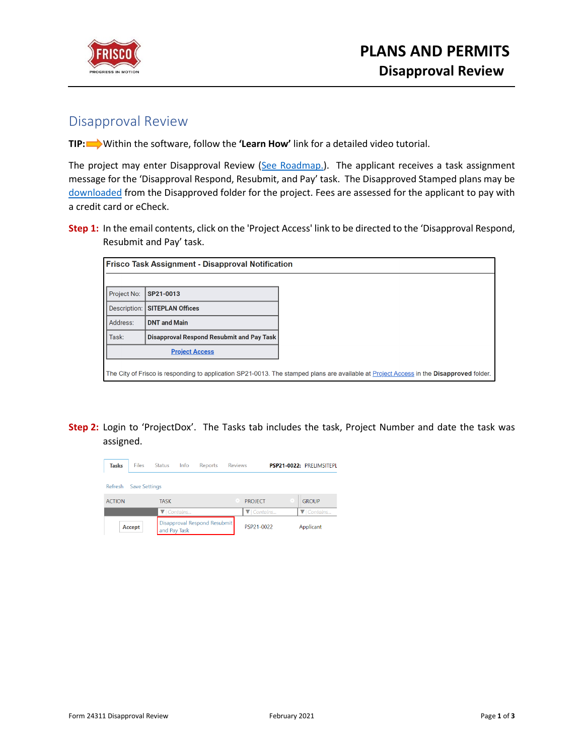

## Disapproval Review

**TIP:** Within the software, follow the **'Learn How'** link for a detailed video tutorial.

The project may enter Disapproval Review [\(See Roadmap.\)](https://www.friscotexas.gov/DocumentCenter/View/24280). The applicant receives a task assignment message for the 'Disapproval Respond, Resubmit, and Pay' task. The Disapproved Stamped plans may be [downloaded](https://www.friscotexas.gov/DocumentCenter/View/24232) from the Disapproved folder for the project. Fees are assessed for the applicant to pay with a credit card or eCheck.

|              | <b>Frisco Task Assignment - Disapproval Notification</b> |                                                                                                                                         |
|--------------|----------------------------------------------------------|-----------------------------------------------------------------------------------------------------------------------------------------|
|              |                                                          |                                                                                                                                         |
| Project No:  | SP21-0013                                                |                                                                                                                                         |
| Description: | <b>SITEPLAN Offices</b>                                  |                                                                                                                                         |
| Address:     | <b>DNT and Main</b>                                      |                                                                                                                                         |
| Task:        | Disapproval Respond Resubmit and Pay Task                |                                                                                                                                         |
|              | <b>Project Access</b>                                    |                                                                                                                                         |
|              |                                                          |                                                                                                                                         |
|              |                                                          | The City of Frisco is responding to application SP21-0013. The stamped plans are available at Project Access in the Disapproved folder. |

**Step 2:** Login to 'ProjectDox'. The Tasks tab includes the task, Project Number and date the task was assigned.

| <b>Tasks</b>  | <b>Files</b>         | <b>Status</b>                 | Info | Reports                      | <b>Reviews</b> |                |  | PSP21-0022: PRELIMSITEPL |
|---------------|----------------------|-------------------------------|------|------------------------------|----------------|----------------|--|--------------------------|
| Refresh       | <b>Save Settings</b> |                               |      |                              |                |                |  |                          |
| <b>ACTION</b> |                      | <b>TASK</b>                   |      |                              |                | <b>PROJECT</b> |  | <b>GROUP</b>             |
|               |                      | $\blacktriangledown$ Contains |      |                              |                | ▼   Contains   |  | <i>V</i>   Contains      |
|               | Accept               | and Pav Task                  |      | Disapproval Respond Resubmit |                | PSP21-0022     |  | Applicant                |

**Step 1:** In the email contents, click on the 'Project Access' link to be directed to the 'Disapproval Respond, Resubmit and Pay' task.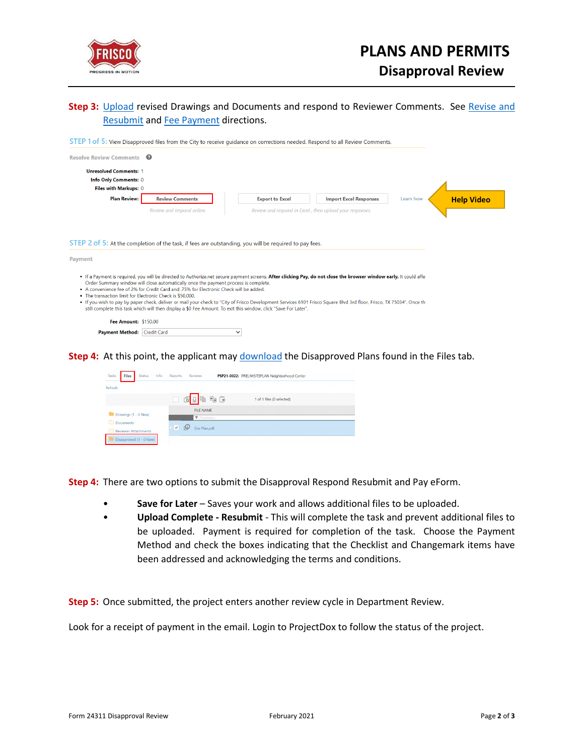

## **Step 3:** [Upload](https://www.friscotexas.gov/DocumentCenter/View/24013) revised Drawings and Documents and respond to Reviewer Comments. See Revise and [Resubmit](https://www.friscotexas.gov/DocumentCenter/View/24011) and [Fee Payment](https://www.friscotexas.gov/DocumentCenter/View/24014/EPR-Fee-Payment-PDF) directions.

| STEP 1 of 5: View Disapproved files from the City to receive quidance on corrections needed. Respond to all Review Comments.<br><b>Resolve Review Comments</b> | ଵ                                                                                                                                                                                                                                                                                                |                        |                                                                                                                                                                                                                                                                                                                                               |           |                   |
|----------------------------------------------------------------------------------------------------------------------------------------------------------------|--------------------------------------------------------------------------------------------------------------------------------------------------------------------------------------------------------------------------------------------------------------------------------------------------|------------------------|-----------------------------------------------------------------------------------------------------------------------------------------------------------------------------------------------------------------------------------------------------------------------------------------------------------------------------------------------|-----------|-------------------|
| <b>Unresolved Comments: 1</b>                                                                                                                                  |                                                                                                                                                                                                                                                                                                  |                        |                                                                                                                                                                                                                                                                                                                                               |           |                   |
| Info Only Comments: 0                                                                                                                                          |                                                                                                                                                                                                                                                                                                  |                        |                                                                                                                                                                                                                                                                                                                                               |           |                   |
| Files with Markups: 0                                                                                                                                          |                                                                                                                                                                                                                                                                                                  |                        |                                                                                                                                                                                                                                                                                                                                               |           |                   |
| <b>Plan Review:</b>                                                                                                                                            | <b>Review Comments</b>                                                                                                                                                                                                                                                                           | <b>Export to Excel</b> | <b>Import Excel Responses</b>                                                                                                                                                                                                                                                                                                                 | Learn how | <b>Help Video</b> |
|                                                                                                                                                                | Review and respond online.                                                                                                                                                                                                                                                                       |                        | Review and respond in Excel, then upload your responses.                                                                                                                                                                                                                                                                                      |           |                   |
|                                                                                                                                                                | STEP 2 of 5: At the completion of the task, if fees are outstanding, you will be required to pay fees.                                                                                                                                                                                           |                        |                                                                                                                                                                                                                                                                                                                                               |           |                   |
| . The transaction limit for Electronic Check is \$50,000.                                                                                                      | Order Summary window will close automatically once the payment process is complete.<br>• A convenience fee of 2% for Credit Card and .75% for Electronic Check will be added.<br>still complete this task which will then display a \$0 Fee Amount. To exit this window, click "Save For Later". |                        | . If a Payment is required, you will be directed to Authorize.net secure payment screens. After clicking Pay, do not close the browser window early. It could affer<br>. If you wish to pay by paper check, deliver or mail your check to "City of Frisco Development Services 6101 Frisco Square Blvd 3rd floor, Frisco, TX 75034". Once the |           |                   |
| <b>Payment</b><br><b>Fee Amount: \$150.00</b>                                                                                                                  |                                                                                                                                                                                                                                                                                                  |                        |                                                                                                                                                                                                                                                                                                                                               |           |                   |

**Step 4:** At this point, the applicant may [download](https://www.friscotexas.gov/DocumentCenter/View/24232) the Disapproved Plans found in the Files tab.

| Tasks                                                     | <b>Files</b> | <b>Status</b>           | Info | <b>Reports</b>     | Reviews          | PSP21-0022: PRELIMSITEPLAN Neighborhood Center |  |
|-----------------------------------------------------------|--------------|-------------------------|------|--------------------|------------------|------------------------------------------------|--|
| Refresh                                                   |              |                         |      |                    |                  |                                                |  |
|                                                           |              |                         |      |                    | 200              | 1 of 1 files (0 selected)                      |  |
| I.                                                        |              | Drawings (1 - 0 New)    |      |                    | <b>FILE NAME</b> |                                                |  |
|                                                           |              |                         |      |                    | ▼ Contains       |                                                |  |
| n<br><b>Documents</b><br><b>Reviewer Attachments</b><br>n |              |                         | ᢦ    | ρ<br>Site Plan.pdf |                  |                                                |  |
|                                                           |              | Disapproved (1 - 0 New) |      |                    |                  |                                                |  |

**Step 4:** There are two options to submit the Disapproval Respond Resubmit and Pay eForm.

- **Save for Later** Saves your work and allows additional files to be uploaded.
- **Upload Complete - Resubmit** This will complete the task and prevent additional files to be uploaded. Payment is required for completion of the task. Choose the Payment Method and check the boxes indicating that the Checklist and Changemark items have been addressed and acknowledging the terms and conditions.

**Step 5:** Once submitted, the project enters another review cycle in Department Review.

Look for a receipt of payment in the email. Login to ProjectDox to follow the status of the project.